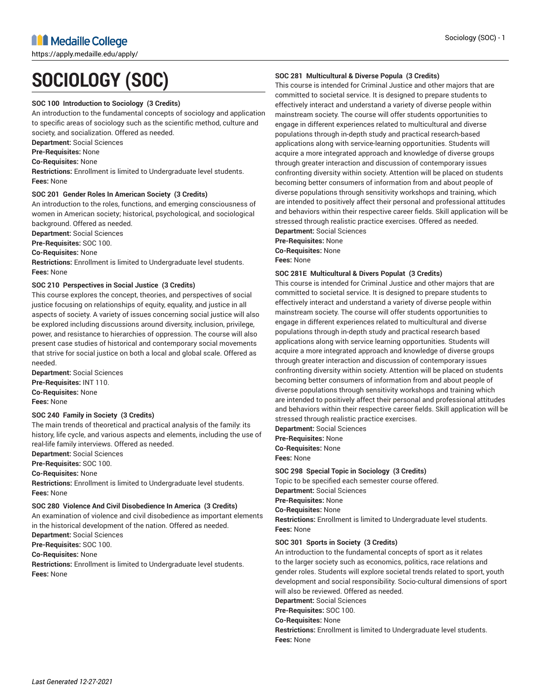https://apply.medaille.edu/apply/

# **SOCIOLOGY (SOC)**

# **SOC 100 Introduction to Sociology (3 Credits)**

An introduction to the fundamental concepts of sociology and application to specific areas of sociology such as the scientific method, culture and society, and socialization. Offered as needed.

**Department:** Social Sciences

**Pre-Requisites:** None

**Co-Requisites:** None

**Restrictions:** Enrollment is limited to Undergraduate level students. **Fees:** None

# **SOC 201 Gender Roles In American Society (3 Credits)**

An introduction to the roles, functions, and emerging consciousness of women in American society; historical, psychological, and sociological background. Offered as needed.

**Department:** Social Sciences

**Pre-Requisites:** SOC 100.

**Co-Requisites:** None

**Restrictions:** Enrollment is limited to Undergraduate level students. **Fees:** None

# **SOC 210 Perspectives in Social Justice (3 Credits)**

This course explores the concept, theories, and perspectives of social justice focusing on relationships of equity, equality, and justice in all aspects of society. A variety of issues concerning social justice will also be explored including discussions around diversity, inclusion, privilege, power, and resistance to hierarchies of oppression. The course will also present case studies of historical and contemporary social movements that strive for social justice on both a local and global scale. Offered as needed.

**Department:** Social Sciences **Pre-Requisites:** INT 110. **Co-Requisites:** None **Fees:** None

# **SOC 240 Family in Society (3 Credits)**

The main trends of theoretical and practical analysis of the family: its history, life cycle, and various aspects and elements, including the use of real-life family interviews. Offered as needed.

**Department:** Social Sciences

**Pre-Requisites:** SOC 100.

**Co-Requisites:** None

**Restrictions:** Enrollment is limited to Undergraduate level students. **Fees:** None

# **SOC 280 Violence And Civil Disobedience In America (3 Credits)**

An examination of violence and civil disobedience as important elements in the historical development of the nation. Offered as needed. **Department:** Social Sciences

**Pre-Requisites:** SOC 100.

**Co-Requisites:** None

**Restrictions:** Enrollment is limited to Undergraduate level students. **Fees:** None

# **SOC 281 Multicultural & Diverse Popula (3 Credits)**

This course is intended for Criminal Justice and other majors that are committed to societal service. It is designed to prepare students to effectively interact and understand a variety of diverse people within mainstream society. The course will offer students opportunities to engage in different experiences related to multicultural and diverse populations through in-depth study and practical research-based applications along with service-learning opportunities. Students will acquire a more integrated approach and knowledge of diverse groups through greater interaction and discussion of contemporary issues confronting diversity within society. Attention will be placed on students becoming better consumers of information from and about people of diverse populations through sensitivity workshops and training, which are intended to positively affect their personal and professional attitudes and behaviors within their respective career fields. Skill application will be stressed through realistic practice exercises. Offered as needed.

**Department:** Social Sciences **Pre-Requisites:** None **Co-Requisites:** None **Fees:** None

# **SOC 281E Multicultural & Divers Populat (3 Credits)**

This course is intended for Criminal Justice and other majors that are committed to societal service. It is designed to prepare students to effectively interact and understand a variety of diverse people within mainstream society. The course will offer students opportunities to engage in different experiences related to multicultural and diverse populations through in-depth study and practical research based applications along with service learning opportunities. Students will acquire a more integrated approach and knowledge of diverse groups through greater interaction and discussion of contemporary issues confronting diversity within society. Attention will be placed on students becoming better consumers of information from and about people of diverse populations through sensitivity workshops and training which are intended to positively affect their personal and professional attitudes and behaviors within their respective career fields. Skill application will be stressed through realistic practice exercises.

**Department:** Social Sciences

**Pre-Requisites:** None

**Co-Requisites:** None

**Fees:** None

# **SOC 298 Special Topic in Sociology (3 Credits)**

Topic to be specified each semester course offered. **Department:** Social Sciences

**Pre-Requisites:** None

**Co-Requisites:** None

**Restrictions:** Enrollment is limited to Undergraduate level students. **Fees:** None

# **SOC 301 Sports in Society (3 Credits)**

An introduction to the fundamental concepts of sport as it relates to the larger society such as economics, politics, race relations and gender roles. Students will explore societal trends related to sport, youth development and social responsibility. Socio-cultural dimensions of sport will also be reviewed. Offered as needed.

**Department:** Social Sciences

**Pre-Requisites:** SOC 100.

**Co-Requisites:** None

**Restrictions:** Enrollment is limited to Undergraduate level students. **Fees:** None